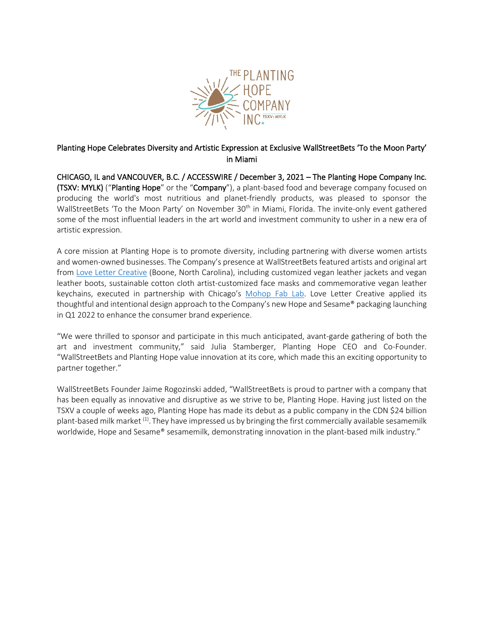

## Planting Hope Celebrates Diversity and Artistic Expression at Exclusive WallStreetBets 'To the Moon Party' in Miami

CHICAGO, IL and VANCOUVER, B.C. / ACCESSWIRE / December 3, 2021 – The Planting Hope Company Inc. (TSXV: MYLK) ("Planting Hope" or the "Company"), a plant-based food and beverage company focused on producing the world's most nutritious and planet-friendly products, was pleased to sponsor the WallStreetBets 'To the Moon Party' on November 30<sup>th</sup> in Miami, Florida. The invite-only event gathered some of the most influential leaders in the art world and investment community to usher in a new era of artistic expression.

A core mission at Planting Hope is to promote diversity, including partnering with diverse women artists and women-owned businesses. The Company's presence at WallStreetBets featured artists and original art from [Love Letter Creative](https://www.lovelettercreative.studio/) (Boone, North Carolina), including customized vegan leather jackets and vegan leather boots, sustainable cotton cloth artist-customized face masks and commemorative vegan leather keychains, executed in partnership with Chicago's [Mohop Fab Lab.](https://www.mohop.com/) Love Letter Creative applied its thoughtful and intentional design approach to the Company's new Hope and Sesame® packaging launching in Q1 2022 to enhance the consumer brand experience.

"We were thrilled to sponsor and participate in this much anticipated, avant-garde gathering of both the art and investment community," said Julia Stamberger, Planting Hope CEO and Co-Founder. "WallStreetBets and Planting Hope value innovation at its core, which made this an exciting opportunity to partner together."

WallStreetBets Founder Jaime Rogozinski added, "WallStreetBets is proud to partner with a company that has been equally as innovative and disruptive as we strive to be, Planting Hope. Having just listed on the TSXV a couple of weeks ago, Planting Hope has made its debut as a public company in the CDN \$24 billion plant-based milk market <sup>(1)</sup>. They have impressed us by bringing the first commercially available sesamemilk worldwide, Hope and Sesame® sesamemilk, demonstrating innovation in the plant-based milk industry."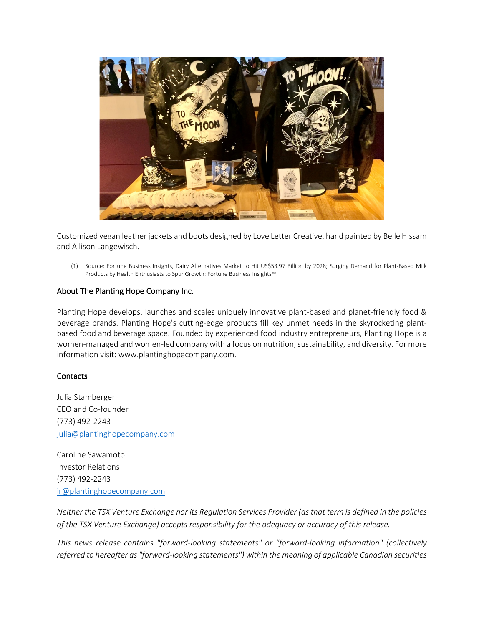

Customized vegan leather jackets and boots designed by Love Letter Creative, hand painted by Belle Hissam and Allison Langewisch.

(1) Source: Fortune Business Insights, Dairy Alternatives Market to Hit US\$53.97 Billion by 2028; Surging Demand for Plant-Based Milk Products by Health Enthusiasts to Spur Growth: Fortune Business Insights™.

## About The Planting Hope Company Inc.

Planting Hope develops, launches and scales uniquely innovative plant-based and planet-friendly food & beverage brands. Planting Hope's cutting-edge products fill key unmet needs in the skyrocketing plantbased food and beverage space. Founded by experienced food industry entrepreneurs, Planting Hope is a women-managed and women-led company with a focus on nutrition, sustainability, and diversity. For more information visit: www.plantinghopecompany.com.

## **Contacts**

Julia Stamberger CEO and Co-founder (773) 492-2243 [julia@plantinghopecompany.com](mailto:julia@plantinghopecompany.com)

Caroline Sawamoto Investor Relations (773) 492-2243 [ir@plantinghopecompany.com](mailto:ir@plantinghopecompany.com)

*Neither the TSX Venture Exchange nor its Regulation Services Provider (as that term is defined in the policies of the TSX Venture Exchange) accepts responsibility for the adequacy or accuracy of this release.*

*This news release contains "forward-looking statements" or "forward-looking information" (collectively referred to hereafter as "forward-looking statements") within the meaning of applicable Canadian securities*